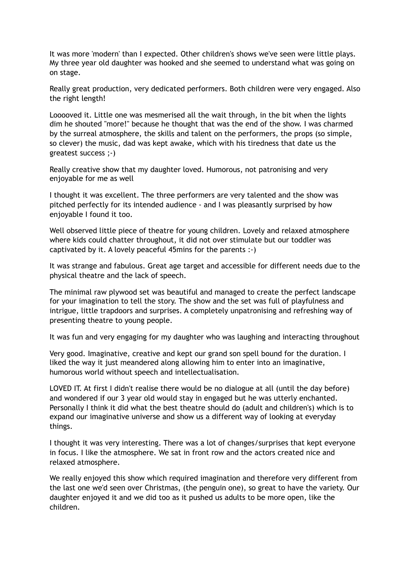It was more 'modern' than I expected. Other children's shows we've seen were little plays. My three year old daughter was hooked and she seemed to understand what was going on on stage.

Really great production, very dedicated performers. Both children were very engaged. Also the right length!

Looooved it. Little one was mesmerised all the wait through, in the bit when the lights dim he shouted "more!" because he thought that was the end of the show. I was charmed by the surreal atmosphere, the skills and talent on the performers, the props (so simple, so clever) the music, dad was kept awake, which with his tiredness that date us the greatest success ;-)

Really creative show that my daughter loved. Humorous, not patronising and very enjoyable for me as well

I thought it was excellent. The three performers are very talented and the show was pitched perfectly for its intended audience - and I was pleasantly surprised by how enjoyable I found it too.

Well observed little piece of theatre for young children. Lovely and relaxed atmosphere where kids could chatter throughout, it did not over stimulate but our toddler was captivated by it. A lovely peaceful 45mins for the parents :-)

It was strange and fabulous. Great age target and accessible for different needs due to the physical theatre and the lack of speech.

The minimal raw plywood set was beautiful and managed to create the perfect landscape for your imagination to tell the story. The show and the set was full of playfulness and intrigue, little trapdoors and surprises. A completely unpatronising and refreshing way of presenting theatre to young people.

It was fun and very engaging for my daughter who was laughing and interacting throughout

Very good. Imaginative, creative and kept our grand son spell bound for the duration. I liked the way it just meandered along allowing him to enter into an imaginative, humorous world without speech and intellectualisation.

LOVED IT. At first I didn't realise there would be no dialogue at all (until the day before) and wondered if our 3 year old would stay in engaged but he was utterly enchanted. Personally I think it did what the best theatre should do (adult and children's) which is to expand our imaginative universe and show us a different way of looking at everyday things.

I thought it was very interesting. There was a lot of changes/surprises that kept everyone in focus. I like the atmosphere. We sat in front row and the actors created nice and relaxed atmosphere.

We really enjoyed this show which required imagination and therefore very different from the last one we'd seen over Christmas, (the penguin one), so great to have the variety. Our daughter enjoyed it and we did too as it pushed us adults to be more open, like the children.